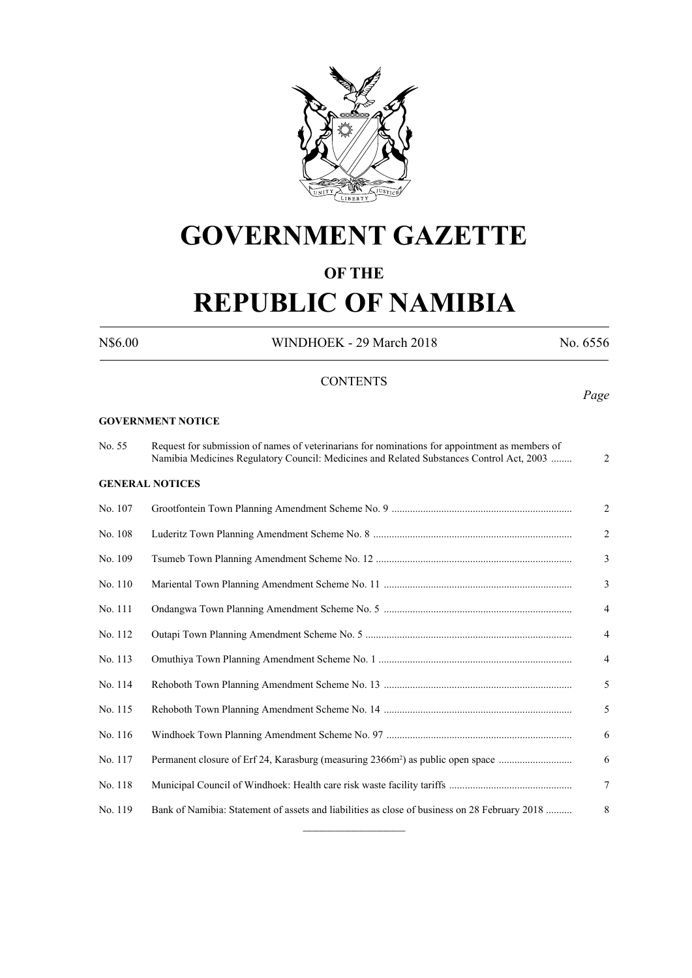

# **GOVERNMENT GAZETTE**

# **OF THE**

# **REPUBLIC OF NAMIBIA**

N\$6.00 WINDHOEK - 29 March 2018 No. 6556

*Page*

# **CONTENTS**

#### **GOVERNMENT NOTICE**

No. 55 Request for submission of names of veterinarians for nominations for appointment as members of Namibia Medicines Regulatory Council: Medicines and Related Substances Control Act, 2003 ........ 2 **GENERAL NOTICES** No. 107 Grootfontein Town Planning Amendment Scheme No. 9 ..................................................................... 2 No. 108 Luderitz Town Planning Amendment Scheme No. 8 ............................................................................ 2 No. 109 Tsumeb Town Planning Amendment Scheme No. 12 ........................................................................... 3 No. 110 Mariental Town Planning Amendment Scheme No. 11 ........................................................................ 3 No. 111 Ondangwa Town Planning Amendment Scheme No. 5 ........................................................................ 4 No. 112 Outapi Town Planning Amendment Scheme No. 5 ............................................................................... 4 No. 113 Omuthiya Town Planning Amendment Scheme No. 1 .......................................................................... 4 No. 114 Rehoboth Town Planning Amendment Scheme No. 13 ........................................................................ 5 No. 115 Rehoboth Town Planning Amendment Scheme No. 14 ........................................................................ 5 No. 116 Windhoek Town Planning Amendment Scheme No. 97 ....................................................................... 6 No. 117 Permanent closure of Erf 24, Karasburg (measuring 2366m2 ) as public open space ............................ 6 No. 118 Municipal Council of Windhoek: Health care risk waste facility tariffs ............................................... 7 No. 119 Bank of Namibia: Statement of assets and liabilities as close of business on 28 February 2018 .......... 8  $\overline{\phantom{a}}$  , where  $\overline{\phantom{a}}$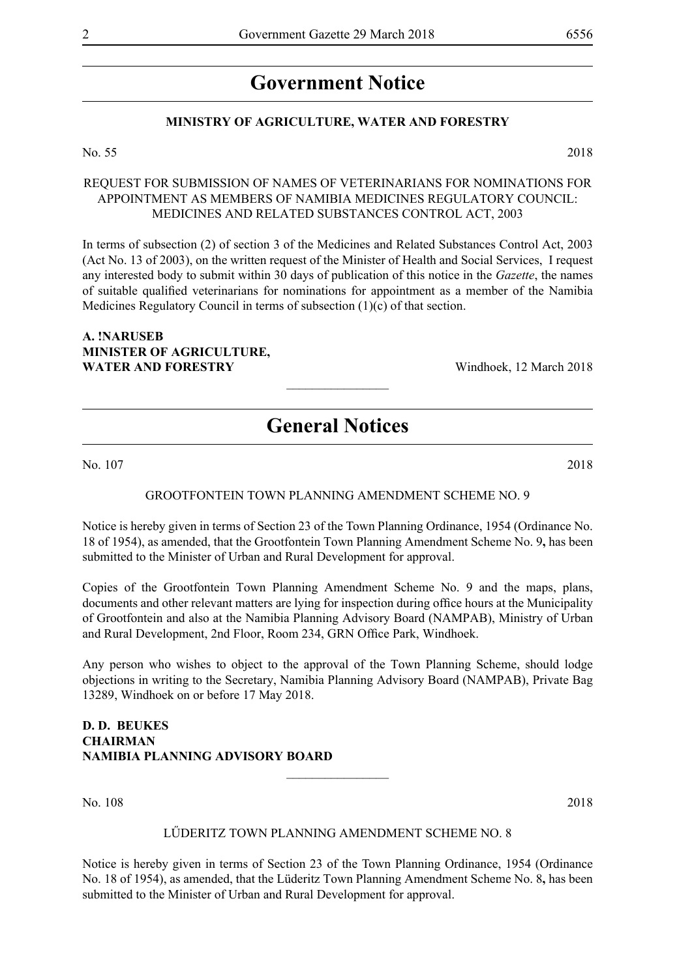# **Government Notice**

# **MINISTRY OF AGRICULTURE, WATER AND FORESTRY**

#### No. 55 2018

REQUEST FOR SUBMISSION OF NAMES OF VETERINARIANS FOR NOMINATIONS FOR APPOINTMENT AS MEMBERS OF NAMIBIA MEDICINES REGULATORY COUNCIL: MEDICINES AND RELATED SUBSTANCES CONTROL ACT, 2003

In terms of subsection (2) of section 3 of the Medicines and Related Substances Control Act, 2003 (Act No. 13 of 2003), on the written request of the Minister of Health and Social Services, I request any interested body to submit within 30 days of publication of this notice in the *Gazette*, the names of suitable qualified veterinarians for nominations for appointment as a member of the Namibia Medicines Regulatory Council in terms of subsection (1)(c) of that section.

# **A. !NARUSEB MINISTER OF AGRICULTURE, WATER AND FORESTRY** Windhoek, 12 March 2018

# **General Notices**

 $\frac{1}{2}$ 

No. 107 2018

## GROOTFONTEIN TOWN PLANNING AMENDMENT SCHEME NO. 9

Notice is hereby given in terms of Section 23 of the Town Planning Ordinance, 1954 (Ordinance No. 18 of 1954), as amended, that the Grootfontein Town Planning Amendment Scheme No. 9**,** has been submitted to the Minister of Urban and Rural Development for approval.

Copies of the Grootfontein Town Planning Amendment Scheme No. 9 and the maps, plans, documents and other relevant matters are lying for inspection during office hours at the Municipality of Grootfontein and also at the Namibia Planning Advisory Board (NAMPAB), Ministry of Urban and Rural Development, 2nd Floor, Room 234, GRN Office Park, Windhoek.

Any person who wishes to object to the approval of the Town Planning Scheme, should lodge objections in writing to the Secretary, Namibia Planning Advisory Board (NAMPAB), Private Bag 13289, Windhoek on or before 17 May 2018.

# **D. D. BEUKES CHAIRMAN NAMIBIA PLANNING ADVISORY BOARD**

No. 108 2018

#### LŰDERITZ TOWN PLANNING AMENDMENT SCHEME NO. 8

 $\frac{1}{2}$ 

Notice is hereby given in terms of Section 23 of the Town Planning Ordinance, 1954 (Ordinance No. 18 of 1954), as amended, that the Lüderitz Town Planning Amendment Scheme No. 8**,** has been submitted to the Minister of Urban and Rural Development for approval.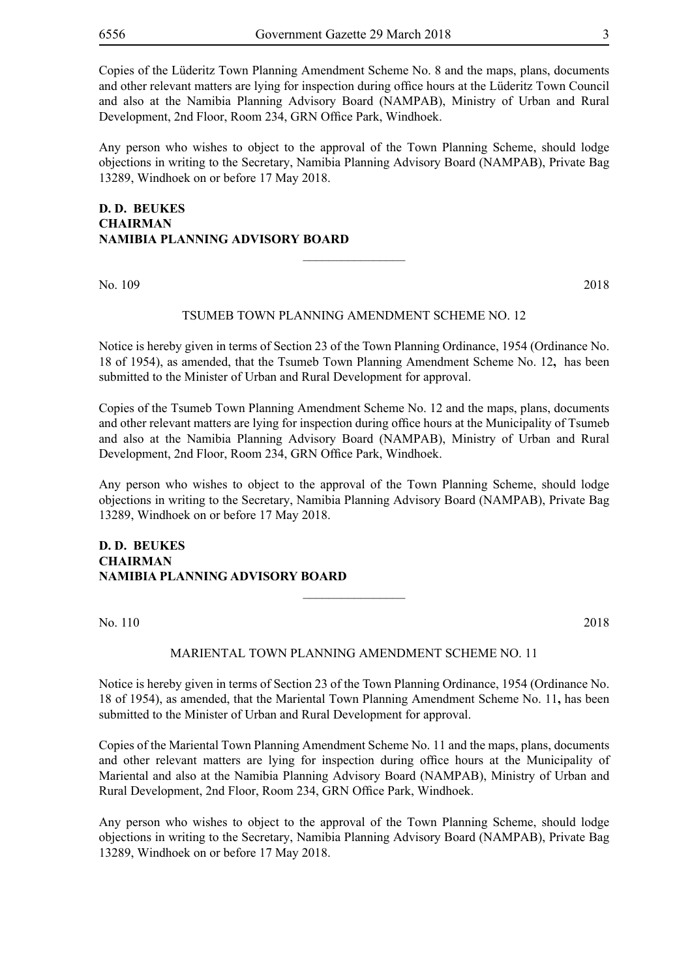Copies of the Lüderitz Town Planning Amendment Scheme No. 8 and the maps, plans, documents and other relevant matters are lying for inspection during office hours at the Lüderitz Town Council and also at the Namibia Planning Advisory Board (NAMPAB), Ministry of Urban and Rural Development, 2nd Floor, Room 234, GRN Office Park, Windhoek.

Any person who wishes to object to the approval of the Town Planning Scheme, should lodge objections in writing to the Secretary, Namibia Planning Advisory Board (NAMPAB), Private Bag 13289, Windhoek on or before 17 May 2018.

# **D. D. BEUKES CHAIRMAN NAMIBIA PLANNING ADVISORY BOARD**

No. 109 2018

### TSUMEB TOWN PLANNING AMENDMENT SCHEME NO. 12

 $\overline{\phantom{a}}$  , where  $\overline{\phantom{a}}$ 

Notice is hereby given in terms of Section 23 of the Town Planning Ordinance, 1954 (Ordinance No. 18 of 1954), as amended, that the Tsumeb Town Planning Amendment Scheme No. 12**,** has been submitted to the Minister of Urban and Rural Development for approval.

Copies of the Tsumeb Town Planning Amendment Scheme No. 12 and the maps, plans, documents and other relevant matters are lying for inspection during office hours at the Municipality of Tsumeb and also at the Namibia Planning Advisory Board (NAMPAB), Ministry of Urban and Rural Development, 2nd Floor, Room 234, GRN Office Park, Windhoek.

Any person who wishes to object to the approval of the Town Planning Scheme, should lodge objections in writing to the Secretary, Namibia Planning Advisory Board (NAMPAB), Private Bag 13289, Windhoek on or before 17 May 2018.

# **D. D. BEUKES CHAIRMAN NAMIBIA PLANNING ADVISORY BOARD**

No. 110 2018

#### MARIENTAL TOWN PLANNING AMENDMENT SCHEME NO. 11

 $\frac{1}{2}$ 

Notice is hereby given in terms of Section 23 of the Town Planning Ordinance, 1954 (Ordinance No. 18 of 1954), as amended, that the Mariental Town Planning Amendment Scheme No. 11**,** has been submitted to the Minister of Urban and Rural Development for approval.

Copies of the Mariental Town Planning Amendment Scheme No. 11 and the maps, plans, documents and other relevant matters are lying for inspection during office hours at the Municipality of Mariental and also at the Namibia Planning Advisory Board (NAMPAB), Ministry of Urban and Rural Development, 2nd Floor, Room 234, GRN Office Park, Windhoek.

Any person who wishes to object to the approval of the Town Planning Scheme, should lodge objections in writing to the Secretary, Namibia Planning Advisory Board (NAMPAB), Private Bag 13289, Windhoek on or before 17 May 2018.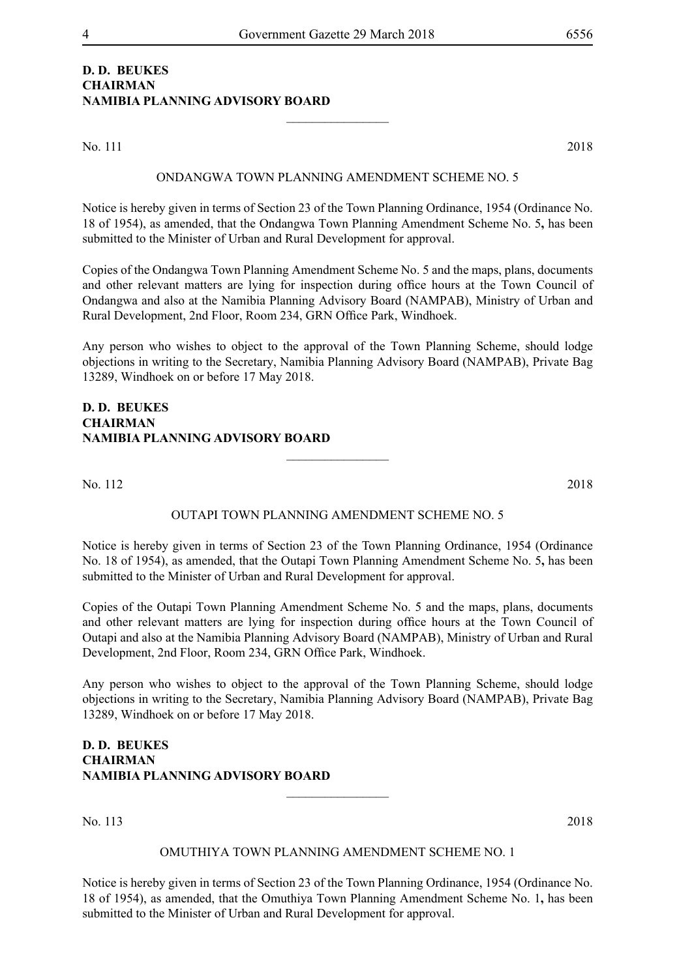# **D. D. BEUKES CHAIRMAN NAMIBIA PLANNING ADVISORY BOARD**

No. 111 2018

#### ONDANGWA TOWN PLANNING AMENDMENT SCHEME NO. 5

 $\frac{1}{2}$ 

Notice is hereby given in terms of Section 23 of the Town Planning Ordinance, 1954 (Ordinance No. 18 of 1954), as amended, that the Ondangwa Town Planning Amendment Scheme No. 5**,** has been submitted to the Minister of Urban and Rural Development for approval.

Copies of the Ondangwa Town Planning Amendment Scheme No. 5 and the maps, plans, documents and other relevant matters are lying for inspection during office hours at the Town Council of Ondangwa and also at the Namibia Planning Advisory Board (NAMPAB), Ministry of Urban and Rural Development, 2nd Floor, Room 234, GRN Office Park, Windhoek.

Any person who wishes to object to the approval of the Town Planning Scheme, should lodge objections in writing to the Secretary, Namibia Planning Advisory Board (NAMPAB), Private Bag 13289, Windhoek on or before 17 May 2018.

# **D. D. BEUKES CHAIRMAN NAMIBIA PLANNING ADVISORY BOARD**

No. 112 2018

#### OUTAPI TOWN PLANNING AMENDMENT SCHEME NO. 5

 $\overline{\phantom{a}}$  , where  $\overline{\phantom{a}}$ 

Notice is hereby given in terms of Section 23 of the Town Planning Ordinance, 1954 (Ordinance No. 18 of 1954), as amended, that the Outapi Town Planning Amendment Scheme No. 5**,** has been submitted to the Minister of Urban and Rural Development for approval.

Copies of the Outapi Town Planning Amendment Scheme No. 5 and the maps, plans, documents and other relevant matters are lying for inspection during office hours at the Town Council of Outapi and also at the Namibia Planning Advisory Board (NAMPAB), Ministry of Urban and Rural Development, 2nd Floor, Room 234, GRN Office Park, Windhoek.

Any person who wishes to object to the approval of the Town Planning Scheme, should lodge objections in writing to the Secretary, Namibia Planning Advisory Board (NAMPAB), Private Bag 13289, Windhoek on or before 17 May 2018.

# **D. D. BEUKES CHAIRMAN NAMIBIA PLANNING ADVISORY BOARD**

No. 113 2018

#### OMUTHIYA TOWN PLANNING AMENDMENT SCHEME NO. 1

 $\overline{\phantom{a}}$  , where  $\overline{\phantom{a}}$ 

Notice is hereby given in terms of Section 23 of the Town Planning Ordinance, 1954 (Ordinance No. 18 of 1954), as amended, that the Omuthiya Town Planning Amendment Scheme No. 1**,** has been submitted to the Minister of Urban and Rural Development for approval.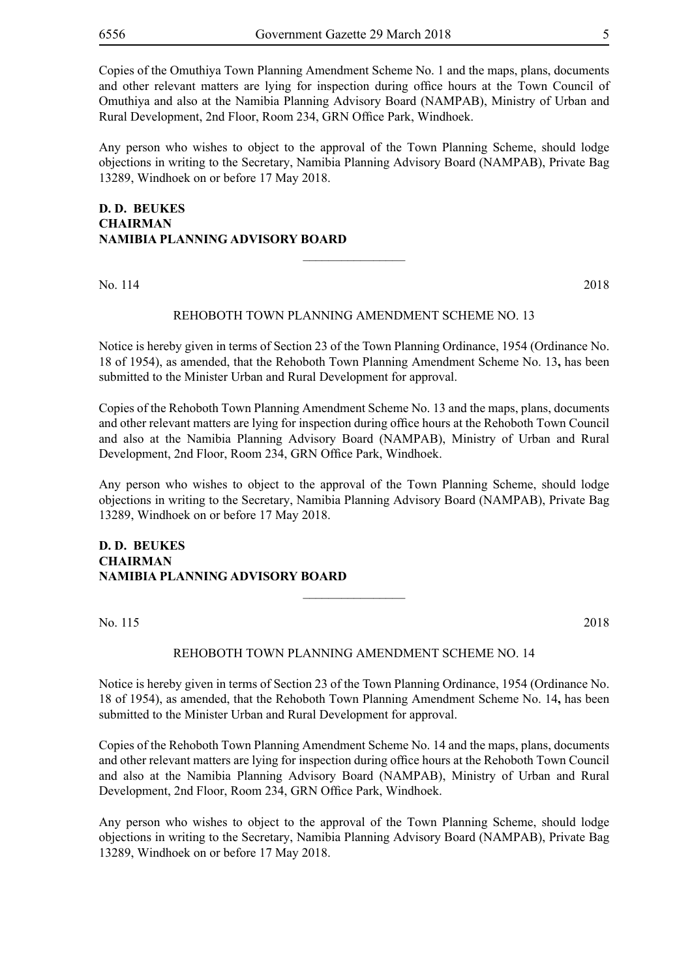Copies of the Omuthiya Town Planning Amendment Scheme No. 1 and the maps, plans, documents and other relevant matters are lying for inspection during office hours at the Town Council of Omuthiya and also at the Namibia Planning Advisory Board (NAMPAB), Ministry of Urban and Rural Development, 2nd Floor, Room 234, GRN Office Park, Windhoek.

Any person who wishes to object to the approval of the Town Planning Scheme, should lodge objections in writing to the Secretary, Namibia Planning Advisory Board (NAMPAB), Private Bag 13289, Windhoek on or before 17 May 2018.

# **D. D. BEUKES CHAIRMAN NAMIBIA PLANNING ADVISORY BOARD**

No. 114 2018

#### REHOBOTH TOWN PLANNING AMENDMENT SCHEME NO. 13

 $\overline{\phantom{a}}$  , where  $\overline{\phantom{a}}$ 

Notice is hereby given in terms of Section 23 of the Town Planning Ordinance, 1954 (Ordinance No. 18 of 1954), as amended, that the Rehoboth Town Planning Amendment Scheme No. 13**,** has been submitted to the Minister Urban and Rural Development for approval.

Copies of the Rehoboth Town Planning Amendment Scheme No. 13 and the maps, plans, documents and other relevant matters are lying for inspection during office hours at the Rehoboth Town Council and also at the Namibia Planning Advisory Board (NAMPAB), Ministry of Urban and Rural Development, 2nd Floor, Room 234, GRN Office Park, Windhoek.

Any person who wishes to object to the approval of the Town Planning Scheme, should lodge objections in writing to the Secretary, Namibia Planning Advisory Board (NAMPAB), Private Bag 13289, Windhoek on or before 17 May 2018.

# **D. D. BEUKES CHAIRMAN NAMIBIA PLANNING ADVISORY BOARD**

No. 115 2018

#### REHOBOTH TOWN PLANNING AMENDMENT SCHEME NO. 14

 $\frac{1}{2}$ 

Notice is hereby given in terms of Section 23 of the Town Planning Ordinance, 1954 (Ordinance No. 18 of 1954), as amended, that the Rehoboth Town Planning Amendment Scheme No. 14**,** has been submitted to the Minister Urban and Rural Development for approval.

Copies of the Rehoboth Town Planning Amendment Scheme No. 14 and the maps, plans, documents and other relevant matters are lying for inspection during office hours at the Rehoboth Town Council and also at the Namibia Planning Advisory Board (NAMPAB), Ministry of Urban and Rural Development, 2nd Floor, Room 234, GRN Office Park, Windhoek.

Any person who wishes to object to the approval of the Town Planning Scheme, should lodge objections in writing to the Secretary, Namibia Planning Advisory Board (NAMPAB), Private Bag 13289, Windhoek on or before 17 May 2018.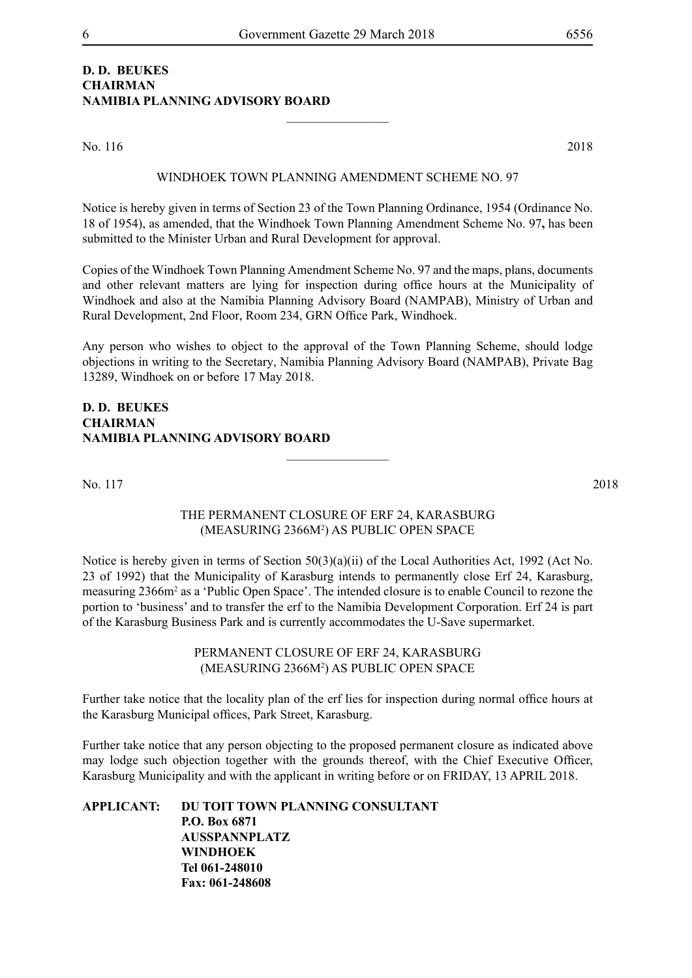# **D. D. BEUKES CHAIRMAN NAMIBIA PLANNING ADVISORY BOARD**

No. 116 2018

#### WINDHOEK TOWN PLANNING AMENDMENT SCHEME NO. 97

 $\frac{1}{2}$ 

Notice is hereby given in terms of Section 23 of the Town Planning Ordinance, 1954 (Ordinance No. 18 of 1954), as amended, that the Windhoek Town Planning Amendment Scheme No. 97**,** has been submitted to the Minister Urban and Rural Development for approval.

Copies of the Windhoek Town Planning Amendment Scheme No. 97 and the maps, plans, documents and other relevant matters are lying for inspection during office hours at the Municipality of Windhoek and also at the Namibia Planning Advisory Board (NAMPAB), Ministry of Urban and Rural Development, 2nd Floor, Room 234, GRN Office Park, Windhoek.

Any person who wishes to object to the approval of the Town Planning Scheme, should lodge objections in writing to the Secretary, Namibia Planning Advisory Board (NAMPAB), Private Bag 13289, Windhoek on or before 17 May 2018.

# **D. D. BEUKES CHAIRMAN NAMIBIA PLANNING ADVISORY BOARD**

No. 117 2018

## THE PERMANENT CLOSURE OF ERF 24, KARASBURG (MEASURING 2366M2 ) AS PUBLIC OPEN SPACE

 $\overline{\phantom{a}}$  , where  $\overline{\phantom{a}}$ 

Notice is hereby given in terms of Section 50(3)(a)(ii) of the Local Authorities Act, 1992 (Act No. 23 of 1992) that the Municipality of Karasburg intends to permanently close Erf 24, Karasburg, measuring 2366m<sup>2</sup> as a 'Public Open Space'. The intended closure is to enable Council to rezone the portion to 'business' and to transfer the erf to the Namibia Development Corporation. Erf 24 is part of the Karasburg Business Park and is currently accommodates the U-Save supermarket.

> PERMANENT CLOSURE OF ERF 24, KARASBURG (MEASURING 2366M2 ) AS PUBLIC OPEN SPACE

Further take notice that the locality plan of the erf lies for inspection during normal office hours at the Karasburg Municipal offices, Park Street, Karasburg.

Further take notice that any person objecting to the proposed permanent closure as indicated above may lodge such objection together with the grounds thereof, with the Chief Executive Officer, Karasburg Municipality and with the applicant in writing before or on FRIDAY, 13 APRIL 2018.

**APPLICANT: DU TOIT TOWN PLANNING CONSULTANT P.O. Box 6871 AUSSPANNPLATZ WINDHOEK Tel 061-248010 Fax: 061-248608**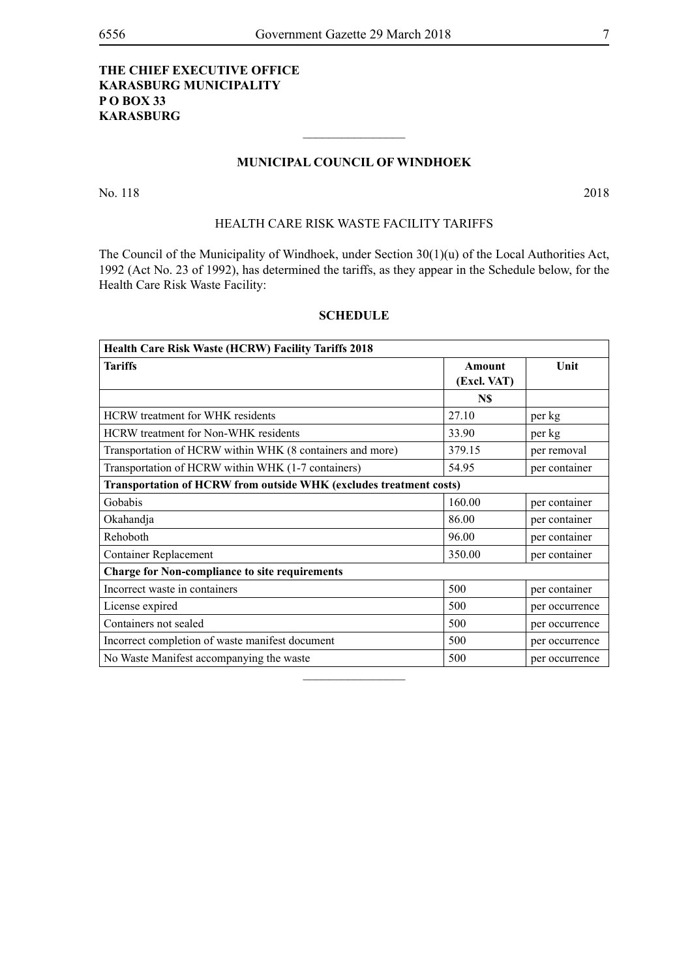# **THE CHIEF EXECUTIVE OFFICE KARASBURG MUNICIPALITY P O BOX 33 KARASBURG**

# **MUNICIPAL COUNCIL OF WINDHOEK**

 $\overline{\phantom{a}}$  , where  $\overline{\phantom{a}}$ 

No. 118 2018

# HEALTH CARE RISK WASTE FACILITY TARIFFS

The Council of the Municipality of Windhoek, under Section 30(1)(u) of the Local Authorities Act, 1992 (Act No. 23 of 1992), has determined the tariffs, as they appear in the Schedule below, for the Health Care Risk Waste Facility:

## **SCHEDULE**

| <b>Health Care Risk Waste (HCRW) Facility Tariffs 2018</b>         |               |                |
|--------------------------------------------------------------------|---------------|----------------|
| <b>Tariffs</b>                                                     | <b>Amount</b> | Unit           |
|                                                                    | (Excl. VAT)   |                |
|                                                                    | N\$           |                |
| <b>HCRW</b> treatment for WHK residents                            | 27.10         | per kg         |
| <b>HCRW</b> treatment for Non-WHK residents                        | 33.90         | per kg         |
| Transportation of HCRW within WHK (8 containers and more)          | 379.15        | per removal    |
| Transportation of HCRW within WHK (1-7 containers)                 | 54.95         | per container  |
| Transportation of HCRW from outside WHK (excludes treatment costs) |               |                |
| Gobabis                                                            | 160.00        | per container  |
| Okahandja                                                          | 86.00         | per container  |
| Rehoboth                                                           | 96.00         | per container  |
| <b>Container Replacement</b>                                       | 350.00        | per container  |
| <b>Charge for Non-compliance to site requirements</b>              |               |                |
| Incorrect waste in containers                                      | 500           | per container  |
| License expired                                                    | 500           | per occurrence |
| Containers not sealed                                              | 500           | per occurrence |
| Incorrect completion of waste manifest document                    | 500           | per occurrence |
| No Waste Manifest accompanying the waste                           | 500           | per occurrence |